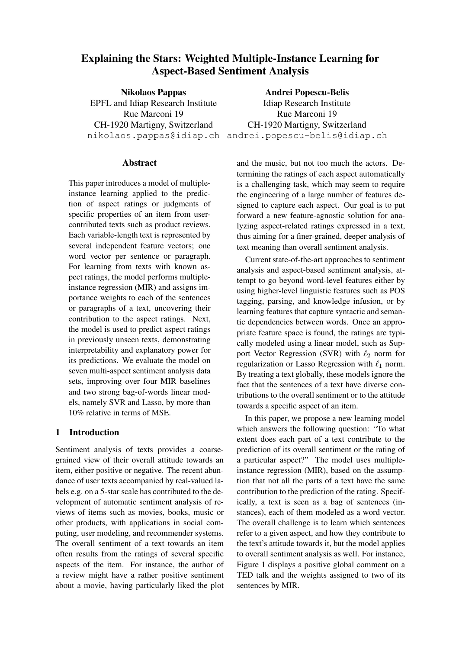# Explaining the Stars: Weighted Multiple-Instance Learning for Aspect-Based Sentiment Analysis

Nikolaos Pappas EPFL and Idiap Research Institute Rue Marconi 19 CH-1920 Martigny, Switzerland

nikolaos.pappas@idiap.ch andrei.popescu-belis@idiap.ch Andrei Popescu-Belis Idiap Research Institute Rue Marconi 19 CH-1920 Martigny, Switzerland

## **Abstract**

This paper introduces a model of multipleinstance learning applied to the prediction of aspect ratings or judgments of specific properties of an item from usercontributed texts such as product reviews. Each variable-length text is represented by several independent feature vectors; one word vector per sentence or paragraph. For learning from texts with known aspect ratings, the model performs multipleinstance regression (MIR) and assigns importance weights to each of the sentences or paragraphs of a text, uncovering their contribution to the aspect ratings. Next, the model is used to predict aspect ratings in previously unseen texts, demonstrating interpretability and explanatory power for its predictions. We evaluate the model on seven multi-aspect sentiment analysis data sets, improving over four MIR baselines and two strong bag-of-words linear models, namely SVR and Lasso, by more than 10% relative in terms of MSE.

# 1 Introduction

Sentiment analysis of texts provides a coarsegrained view of their overall attitude towards an item, either positive or negative. The recent abundance of user texts accompanied by real-valued labels e.g. on a 5-star scale has contributed to the development of automatic sentiment analysis of reviews of items such as movies, books, music or other products, with applications in social computing, user modeling, and recommender systems. The overall sentiment of a text towards an item often results from the ratings of several specific aspects of the item. For instance, the author of a review might have a rather positive sentiment about a movie, having particularly liked the plot and the music, but not too much the actors. Determining the ratings of each aspect automatically is a challenging task, which may seem to require the engineering of a large number of features designed to capture each aspect. Our goal is to put forward a new feature-agnostic solution for analyzing aspect-related ratings expressed in a text, thus aiming for a finer-grained, deeper analysis of text meaning than overall sentiment analysis.

Current state-of-the-art approaches to sentiment analysis and aspect-based sentiment analysis, attempt to go beyond word-level features either by using higher-level linguistic features such as POS tagging, parsing, and knowledge infusion, or by learning features that capture syntactic and semantic dependencies between words. Once an appropriate feature space is found, the ratings are typically modeled using a linear model, such as Support Vector Regression (SVR) with  $\ell_2$  norm for regularization or Lasso Regression with  $\ell_1$  norm. By treating a text globally, these models ignore the fact that the sentences of a text have diverse contributions to the overall sentiment or to the attitude towards a specific aspect of an item.

In this paper, we propose a new learning model which answers the following question: "To what extent does each part of a text contribute to the prediction of its overall sentiment or the rating of a particular aspect?" The model uses multipleinstance regression (MIR), based on the assumption that not all the parts of a text have the same contribution to the prediction of the rating. Specifically, a text is seen as a bag of sentences (instances), each of them modeled as a word vector. The overall challenge is to learn which sentences refer to a given aspect, and how they contribute to the text's attitude towards it, but the model applies to overall sentiment analysis as well. For instance, Figure 1 displays a positive global comment on a TED talk and the weights assigned to two of its sentences by MIR.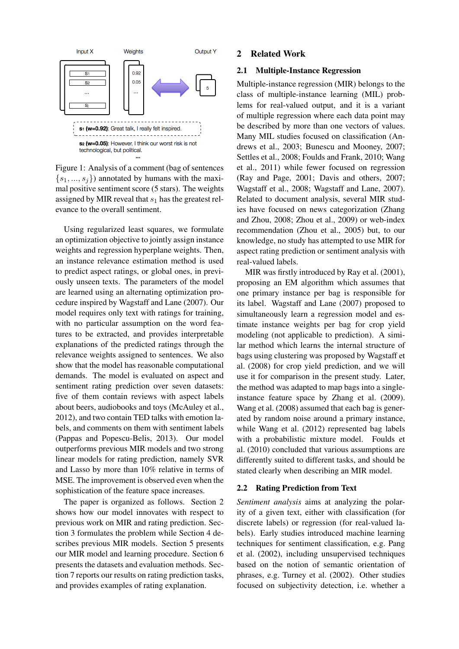

Figure 1: Analysis of a comment (bag of sentences  ${s_1, ..., s_j}$ ) annotated by humans with the maximal positive sentiment score (5 stars). The weights assigned by MIR reveal that  $s_1$  has the greatest relevance to the overall sentiment.

Using regularized least squares, we formulate an optimization objective to jointly assign instance weights and regression hyperplane weights. Then, an instance relevance estimation method is used to predict aspect ratings, or global ones, in previously unseen texts. The parameters of the model are learned using an alternating optimization procedure inspired by Wagstaff and Lane (2007). Our model requires only text with ratings for training, with no particular assumption on the word features to be extracted, and provides interpretable explanations of the predicted ratings through the relevance weights assigned to sentences. We also show that the model has reasonable computational demands. The model is evaluated on aspect and sentiment rating prediction over seven datasets: five of them contain reviews with aspect labels about beers, audiobooks and toys (McAuley et al., 2012), and two contain TED talks with emotion labels, and comments on them with sentiment labels (Pappas and Popescu-Belis, 2013). Our model outperforms previous MIR models and two strong linear models for rating prediction, namely SVR and Lasso by more than 10% relative in terms of MSE. The improvement is observed even when the sophistication of the feature space increases.

The paper is organized as follows. Section 2 shows how our model innovates with respect to previous work on MIR and rating prediction. Section 3 formulates the problem while Section 4 describes previous MIR models. Section 5 presents our MIR model and learning procedure. Section 6 presents the datasets and evaluation methods. Section 7 reports our results on rating prediction tasks, and provides examples of rating explanation.

## 2 Related Work

## 2.1 Multiple-Instance Regression

Multiple-instance regression (MIR) belongs to the class of multiple-instance learning (MIL) problems for real-valued output, and it is a variant of multiple regression where each data point may be described by more than one vectors of values. Many MIL studies focused on classification (Andrews et al., 2003; Bunescu and Mooney, 2007; Settles et al., 2008; Foulds and Frank, 2010; Wang et al., 2011) while fewer focused on regression (Ray and Page, 2001; Davis and others, 2007; Wagstaff et al., 2008; Wagstaff and Lane, 2007). Related to document analysis, several MIR studies have focused on news categorization (Zhang and Zhou, 2008; Zhou et al., 2009) or web-index recommendation (Zhou et al., 2005) but, to our knowledge, no study has attempted to use MIR for aspect rating prediction or sentiment analysis with real-valued labels.

MIR was firstly introduced by Ray et al. (2001), proposing an EM algorithm which assumes that one primary instance per bag is responsible for its label. Wagstaff and Lane (2007) proposed to simultaneously learn a regression model and estimate instance weights per bag for crop yield modeling (not applicable to prediction). A similar method which learns the internal structure of bags using clustering was proposed by Wagstaff et al. (2008) for crop yield prediction, and we will use it for comparison in the present study. Later, the method was adapted to map bags into a singleinstance feature space by Zhang et al. (2009). Wang et al. (2008) assumed that each bag is generated by random noise around a primary instance, while Wang et al. (2012) represented bag labels with a probabilistic mixture model. Foulds et al. (2010) concluded that various assumptions are differently suited to different tasks, and should be stated clearly when describing an MIR model.

## 2.2 Rating Prediction from Text

*Sentiment analysis* aims at analyzing the polarity of a given text, either with classification (for discrete labels) or regression (for real-valued labels). Early studies introduced machine learning techniques for sentiment classification, e.g. Pang et al. (2002), including unsupervised techniques based on the notion of semantic orientation of phrases, e.g. Turney et al. (2002). Other studies focused on subjectivity detection, i.e. whether a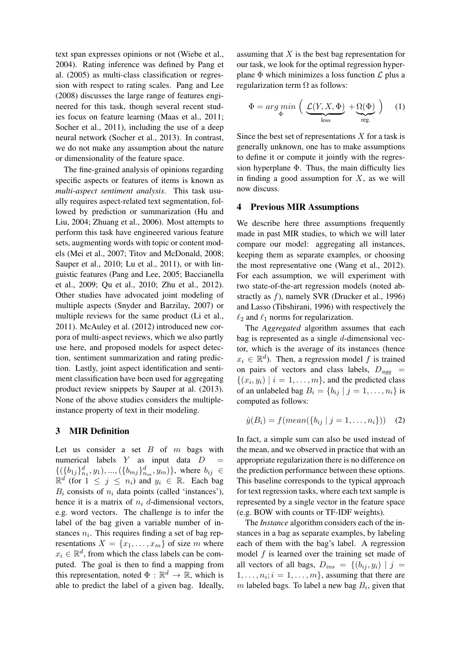text span expresses opinions or not (Wiebe et al., 2004). Rating inference was defined by Pang et al. (2005) as multi-class classification or regression with respect to rating scales. Pang and Lee (2008) discusses the large range of features engineered for this task, though several recent studies focus on feature learning (Maas et al., 2011; Socher et al., 2011), including the use of a deep neural network (Socher et al., 2013). In contrast, we do not make any assumption about the nature or dimensionality of the feature space.

The fine-grained analysis of opinions regarding specific aspects or features of items is known as *multi-aspect sentiment analysis*. This task usually requires aspect-related text segmentation, followed by prediction or summarization (Hu and Liu, 2004; Zhuang et al., 2006). Most attempts to perform this task have engineered various feature sets, augmenting words with topic or content models (Mei et al., 2007; Titov and McDonald, 2008; Sauper et al., 2010; Lu et al., 2011), or with linguistic features (Pang and Lee, 2005; Baccianella et al., 2009; Qu et al., 2010; Zhu et al., 2012). Other studies have advocated joint modeling of multiple aspects (Snyder and Barzilay, 2007) or multiple reviews for the same product (Li et al., 2011). McAuley et al. (2012) introduced new corpora of multi-aspect reviews, which we also partly use here, and proposed models for aspect detection, sentiment summarization and rating prediction. Lastly, joint aspect identification and sentiment classification have been used for aggregating product review snippets by Sauper at al. (2013). None of the above studies considers the multipleinstance property of text in their modeling.

# 3 MIR Definition

Let us consider a set  $B$  of  $m$  bags with numerical labels  $Y$  as input data  $D$  ${({b_{1j}})_{n_1}^d, y_1), ..., ({b_{mj}})_{n_m}^d, y_m)}$ , where  $b_{ij} \in$  $\mathbb{R}^d$  (for  $1 \leq j \leq n_i$ ) and  $y_i \in \mathbb{R}$ . Each bag  $B_i$  consists of  $n_i$  data points (called 'instances'), hence it is a matrix of  $n_i$  d-dimensional vectors, e.g. word vectors. The challenge is to infer the label of the bag given a variable number of instances  $n_i$ . This requires finding a set of bag representations  $X = \{x_1, \ldots, x_m\}$  of size m where  $x_i \in \mathbb{R}^d$ , from which the class labels can be computed. The goal is then to find a mapping from this representation, noted  $\Phi : \mathbb{R}^d \to \mathbb{R}$ , which is able to predict the label of a given bag. Ideally,

assuming that  $X$  is the best bag representation for our task, we look for the optimal regression hyperplane  $\Phi$  which minimizes a loss function  $\mathcal L$  plus a regularization term  $\Omega$  as follows:

$$
\Phi = \arg\min_{\Phi} \left( \underbrace{\mathcal{L}(Y, X, \Phi)}_{\text{loss}} + \underbrace{\Omega(\Phi)}_{\text{reg.}} \right) \tag{1}
$$

Since the best set of representations  $X$  for a task is generally unknown, one has to make assumptions to define it or compute it jointly with the regression hyperplane  $\Phi$ . Thus, the main difficulty lies in finding a good assumption for  $X$ , as we will now discuss.

#### 4 Previous MIR Assumptions

We describe here three assumptions frequently made in past MIR studies, to which we will later compare our model: aggregating all instances, keeping them as separate examples, or choosing the most representative one (Wang et al., 2012). For each assumption, we will experiment with two state-of-the-art regression models (noted abstractly as f), namely SVR (Drucker et al., 1996) and Lasso (Tibshirani, 1996) with respectively the  $\ell_2$  and  $\ell_1$  norms for regularization.

The *Aggregated* algorithm assumes that each bag is represented as a single  $d$ -dimensional vector, which is the average of its instances (hence  $x_i \in \mathbb{R}^d$ ). Then, a regression model f is trained on pairs of vectors and class labels,  $D_{aqq}$  =  $\{(x_i, y_i) \mid i = 1, \ldots, m\}$ , and the predicted class of an unlabeled bag  $B_i = \{b_{ij} | j = 1, \ldots, n_i\}$  is computed as follows:

$$
\hat{y}(B_i) = f(mean(\{b_{ij} \mid j = 1, ..., n_i\})) \quad (2)
$$

In fact, a simple sum can also be used instead of the mean, and we observed in practice that with an appropriate regularization there is no difference on the prediction performance between these options. This baseline corresponds to the typical approach for text regression tasks, where each text sample is represented by a single vector in the feature space (e.g. BOW with counts or TF-IDF weights).

The *Instance* algorithm considers each of the instances in a bag as separate examples, by labeling each of them with the bag's label. A regression model  $f$  is learned over the training set made of all vectors of all bags,  $D_{ins} = \{(b_{ij}, y_i) | j =$  $1, \ldots, n_i; i = 1, \ldots, m\}$ , assuming that there are m labeled bags. To label a new bag  $B_i$ , given that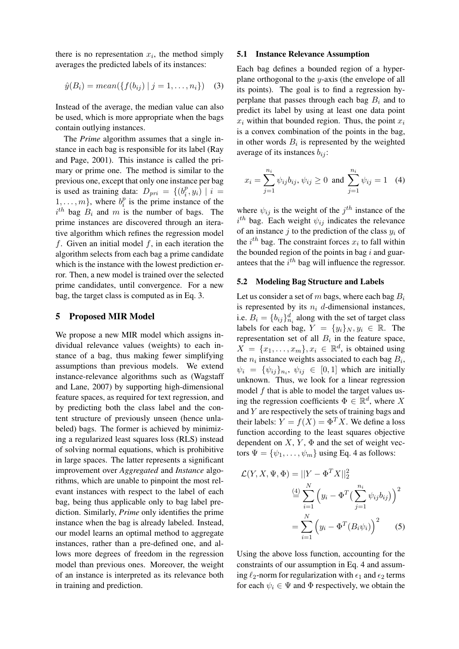there is no representation  $x_i$ , the method simply averages the predicted labels of its instances:

$$
\hat{y}(B_i) = mean(\{f(b_{ij}) \mid j = 1, ..., n_i\}) \quad (3)
$$

Instead of the average, the median value can also be used, which is more appropriate when the bags contain outlying instances.

The *Prime* algorithm assumes that a single instance in each bag is responsible for its label (Ray and Page, 2001). This instance is called the primary or prime one. The method is similar to the previous one, except that only one instance per bag is used as training data:  $D_{pri} = \{(b_i^p)$  $i_{i}^{p}, y_{i})$  |  $i =$  $1, \ldots, m\}$ , where  $b_i^p$  $i$ <sup>*p*</sup> is the prime instance of the  $i<sup>th</sup>$  bag  $B_i$  and m is the number of bags. The prime instances are discovered through an iterative algorithm which refines the regression model f. Given an initial model  $f$ , in each iteration the algorithm selects from each bag a prime candidate which is the instance with the lowest prediction error. Then, a new model is trained over the selected prime candidates, until convergence. For a new bag, the target class is computed as in Eq. 3.

#### 5 Proposed MIR Model

We propose a new MIR model which assigns individual relevance values (weights) to each instance of a bag, thus making fewer simplifying assumptions than previous models. We extend instance-relevance algorithms such as (Wagstaff and Lane, 2007) by supporting high-dimensional feature spaces, as required for text regression, and by predicting both the class label and the content structure of previously unseen (hence unlabeled) bags. The former is achieved by minimizing a regularized least squares loss (RLS) instead of solving normal equations, which is prohibitive in large spaces. The latter represents a significant improvement over *Aggregated* and *Instance* algorithms, which are unable to pinpoint the most relevant instances with respect to the label of each bag, being thus applicable only to bag label prediction. Similarly, *Prime* only identifies the prime instance when the bag is already labeled. Instead, our model learns an optimal method to aggregate instances, rather than a pre-defined one, and allows more degrees of freedom in the regression model than previous ones. Moreover, the weight of an instance is interpreted as its relevance both in training and prediction.

#### 5.1 Instance Relevance Assumption

Each bag defines a bounded region of a hyperplane orthogonal to the y-axis (the envelope of all its points). The goal is to find a regression hyperplane that passes through each bag  $B_i$  and to predict its label by using at least one data point  $x_i$  within that bounded region. Thus, the point  $x_i$ is a convex combination of the points in the bag, in other words  $B_i$  is represented by the weighted average of its instances  $b_{ij}$ :

$$
x_i = \sum_{j=1}^{n_i} \psi_{ij} b_{ij}, \psi_{ij} \ge 0 \text{ and } \sum_{j=1}^{n_i} \psi_{ij} = 1 \quad (4)
$$

where  $\psi_{ij}$  is the weight of the  $j^{th}$  instance of the  $i^{th}$  bag. Each weight  $\psi_{ij}$  indicates the relevance of an instance  $j$  to the prediction of the class  $y_i$  of the  $i^{th}$  bag. The constraint forces  $x_i$  to fall within the bounded region of the points in bag  $i$  and guarantees that the  $i^{th}$  bag will influence the regressor.

#### 5.2 Modeling Bag Structure and Labels

Let us consider a set of m bags, where each bag  $B_i$ is represented by its  $n_i$  d-dimensional instances, i.e.  $B_i = \{b_{ij}\}_{n_i}^d$  along with the set of target class labels for each bag,  $Y = \{y_i\}_N, y_i \in \mathbb{R}$ . The representation set of all  $B_i$  in the feature space,  $X = \{x_1, \ldots, x_m\}, x_i \in \mathbb{R}^d$ , is obtained using the  $n_i$  instance weights associated to each bag  $B_i$ ,  $\psi_i = {\psi_{ij}}_{n_i}, \psi_{ij} \in [0,1]$  which are initially unknown. Thus, we look for a linear regression model  $f$  that is able to model the target values using the regression coefficients  $\Phi \in \mathbb{R}^d$ , where X and  $Y$  are respectively the sets of training bags and their labels:  $Y = f(X) = \Phi^T X$ . We define a loss function according to the least squares objective dependent on  $X, Y, \Phi$  and the set of weight vectors  $\Psi = {\psi_1, \ldots, \psi_m}$  using Eq. 4 as follows:

$$
\mathcal{L}(Y, X, \Psi, \Phi) = ||Y - \Phi^T X||_2^2
$$

$$
\stackrel{\text{(4)}}{=} \sum_{i=1}^N \left( y_i - \Phi^T \left( \sum_{j=1}^{n_i} \psi_{ij} b_{ij} \right) \right)^2
$$

$$
= \sum_{i=1}^N \left( y_i - \Phi^T \left( B_i \psi_i \right) \right)^2 \qquad (5)
$$

Using the above loss function, accounting for the constraints of our assumption in Eq. 4 and assuming  $\ell_2$ -norm for regularization with  $\epsilon_1$  and  $\epsilon_2$  terms for each  $\psi_i \in \Psi$  and  $\Phi$  respectively, we obtain the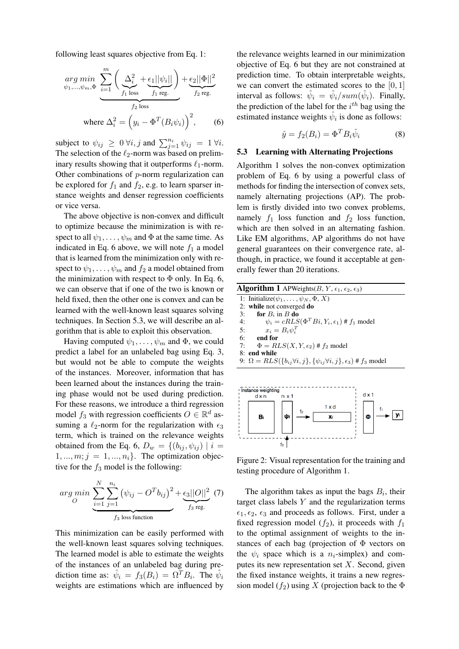following least squares objective from Eq. 1:

$$
\underset{\psi_1,\dots,\psi_m,\Phi}{arg \ min} \underbrace{\sum_{i=1}^m \left( \underbrace{\Delta_i^2}_{f_1 \text{ loss}} + \underbrace{\epsilon_1 ||\psi_i||}_{f_1 \text{ reg.}} \right)}_{f_2 \text{ reg.}} + \underbrace{\epsilon_2 ||\Phi||^2}_{f_2 \text{ reg.}}
$$
\n
$$
\text{where } \Delta_i^2 = \left( y_i - \Phi^T(B_i \psi_i) \right)^2, \qquad (6)
$$

subject to  $\psi_{ij} \geq 0 \,\forall i, j$  and  $\sum_{j=1}^{n_i} \psi_{ij} = 1 \,\forall i$ . The selection of the  $\ell_2$ -norm was based on preliminary results showing that it outperforms  $\ell_1$ -norm. Other combinations of p-norm regularization can be explored for  $f_1$  and  $f_2$ , e.g. to learn sparser instance weights and denser regression coefficients or vice versa.

The above objective is non-convex and difficult to optimize because the minimization is with respect to all  $\psi_1, \ldots, \psi_m$  and  $\Phi$  at the same time. As indicated in Eq. 6 above, we will note  $f_1$  a model that is learned from the minimization only with respect to  $\psi_1, \ldots, \psi_m$  and  $f_2$  a model obtained from the minimization with respect to  $\Phi$  only. In Eq. 6, we can observe that if one of the two is known or held fixed, then the other one is convex and can be learned with the well-known least squares solving techniques. In Section 5.3, we will describe an algorithm that is able to exploit this observation.

Having computed  $\psi_1, \ldots, \psi_m$  and  $\Phi$ , we could predict a label for an unlabeled bag using Eq. 3, but would not be able to compute the weights of the instances. Moreover, information that has been learned about the instances during the training phase would not be used during prediction. For these reasons, we introduce a third regression model  $f_3$  with regression coefficients  $O \in \mathbb{R}^d$  assuming a  $\ell_2$ -norm for the regularization with  $\epsilon_3$ term, which is trained on the relevance weights obtained from the Eq. 6,  $D_w = \{(b_{ij}, \psi_{ij}) \mid i =$  $1, \ldots, m; j = 1, \ldots, n_i$ . The optimization objective for the  $f_3$  model is the following:

$$
\arg\min_{O} \underbrace{\sum_{i=1}^{N} \sum_{j=1}^{n_i} (\psi_{ij} - O^T b_{ij})^2}_{f_3 \text{ loss function}} + \underbrace{\epsilon_3 ||O||^2}_{f_3 \text{ reg.}} \tag{7}
$$

This minimization can be easily performed with the well-known least squares solving techniques. The learned model is able to estimate the weights of the instances of an unlabeled bag during prediction time as:  $\hat{\psi}_i = f_3(B_i) = \Omega^T B_i$ . The  $\hat{\psi}_i$ weights are estimations which are influenced by

the relevance weights learned in our minimization objective of Eq. 6 but they are not constrained at prediction time. To obtain interpretable weights, we can convert the estimated scores to the  $[0, 1]$ interval as follows:  $\hat{\psi}_i = \hat{\psi}_i/sum(\hat{\psi}_i)$ . Finally, the prediction of the label for the  $i^{th}$  bag using the estimated instance weights  $\hat{\psi}_i$  is done as follows:

$$
\hat{y} = f_2(B_i) = \Phi^T B_i \hat{\psi}_i \tag{8}
$$

#### 5.3 Learning with Alternating Projections

Algorithm 1 solves the non-convex optimization problem of Eq. 6 by using a powerful class of methods for finding the intersection of convex sets, namely alternating projections (AP). The problem is firstly divided into two convex problems, namely  $f_1$  loss function and  $f_2$  loss function, which are then solved in an alternating fashion. Like EM algorithms, AP algorithms do not have general guarantees on their convergence rate, although, in practice, we found it acceptable at generally fewer than 20 iterations.

| <b>Algorithm 1</b> APWeights $(B, Y, \epsilon_1, \epsilon_2, \epsilon_3)$                    |
|----------------------------------------------------------------------------------------------|
| 1: Initialize( $\psi_1, \ldots, \psi_N, \Phi, X$ )                                           |
| 2: while not converged do                                                                    |
| for $B_i$ in B do<br>3:                                                                      |
| $\psi_i = cRLS(\Phi^T Bi, Y_i, \epsilon_1)$ # $f_1$ model<br>4:                              |
| $x_i = B_i \psi_i^T$<br>5:                                                                   |
| 6:<br>end for                                                                                |
| $\Phi = RLS(X, Y, \epsilon_2) \# f_2 \text{ model}$<br>7:                                    |
| 8: end while                                                                                 |
| 9: $\Omega = RLS({b_{ij} \forall i, j}, {\psi_{ij} \forall i, j}, \epsilon_3)$ # $f_3$ model |
|                                                                                              |



Figure 2: Visual representation for the training and testing procedure of Algorithm 1.

The algorithm takes as input the bags  $B_i$ , their target class labels  $Y$  and the regularization terms  $\epsilon_1, \epsilon_2, \epsilon_3$  and proceeds as follows. First, under a fixed regression model  $(f_2)$ , it proceeds with  $f_1$ to the optimal assignment of weights to the instances of each bag (projection of  $\Phi$  vectors on the  $\psi_i$  space which is a  $n_i$ -simplex) and computes its new representation set  $X$ . Second, given the fixed instance weights, it trains a new regression model ( $f_2$ ) using X (projection back to the  $\Phi$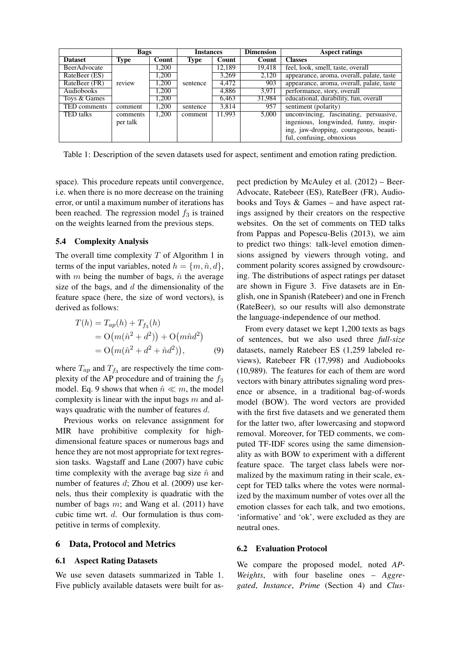|                  | <b>Bags</b>              |       | <b>Instances</b> |        | <b>Dimension</b> | <b>Aspect ratings</b>                     |  |
|------------------|--------------------------|-------|------------------|--------|------------------|-------------------------------------------|--|
| <b>Dataset</b>   | <b>Type</b>              | Count | <b>Type</b>      | Count  | Count            | <b>Classes</b>                            |  |
| BeerAdvocate     |                          | 1,200 |                  | 12,189 | 19.418           | feel, look, smell, taste, overall         |  |
| RateBeer (ES)    | 1.200<br>1.200<br>review |       | sentence         | 3.269  | 2.120            | appearance, aroma, overall, palate, taste |  |
| RateBeer (FR)    |                          |       |                  | 4,472  | 903              | appearance, aroma, overall, palate, taste |  |
| Audiobooks       |                          | 1,200 |                  | 4,886  | 3.971            | performance, story, overall               |  |
| Toys & Games     |                          | 1.200 |                  | 6,463  | 31,984           | educational, durability, fun, overall     |  |
| TED comments     | comment                  | 1,200 | sentence         | 3,814  | 957              | sentiment (polarity)                      |  |
| <b>TED</b> talks | comments                 | 1,200 | comment          | 11.993 | 5,000            | unconvincing, fascinating, persuasive,    |  |
|                  | per talk                 |       |                  |        |                  | ingenious, longwinded, funny, inspir-     |  |
|                  |                          |       |                  |        |                  | ing, jaw-dropping, courageous, beauti-    |  |
|                  |                          |       |                  |        |                  | ful, confusing, obnoxious                 |  |

Table 1: Description of the seven datasets used for aspect, sentiment and emotion rating prediction.

space). This procedure repeats until convergence, i.e. when there is no more decrease on the training error, or until a maximum number of iterations has been reached. The regression model  $f_3$  is trained on the weights learned from the previous steps.

## 5.4 Complexity Analysis

The overall time complexity  $T$  of Algorithm 1 in terms of the input variables, noted  $h = \{m, \hat{n}, d\},\$ with m being the number of bags,  $\hat{n}$  the average size of the bags, and  $d$  the dimensionality of the feature space (here, the size of word vectors), is derived as follows:

$$
T(h) = T_{ap}(h) + T_{f_3}(h)
$$
  
= O(m( $\hat{n}^2 + d^2$ )) + O(m $\hat{n}d^2$ )  
= O(m( $\hat{n}^2 + d^2 + \hat{n}d^2$ )), (9)

where  $T_{ap}$  and  $T_{f3}$  are respectively the time complexity of the AP procedure and of training the  $f_3$ model. Eq. 9 shows that when  $\hat{n} \ll m$ , the model complexity is linear with the input bags  $m$  and always quadratic with the number of features d.

Previous works on relevance assignment for MIR have prohibitive complexity for highdimensional feature spaces or numerous bags and hence they are not most appropriate for text regression tasks. Wagstaff and Lane (2007) have cubic time complexity with the average bag size  $\hat{n}$  and number of features d; Zhou et al. (2009) use kernels, thus their complexity is quadratic with the number of bags  $m$ ; and Wang et al. (2011) have cubic time wrt. d. Our formulation is thus competitive in terms of complexity.

## 6 Data, Protocol and Metrics

## 6.1 Aspect Rating Datasets

We use seven datasets summarized in Table 1. Five publicly available datasets were built for aspect prediction by McAuley et al. (2012) – Beer-Advocate, Ratebeer (ES), RateBeer (FR), Audiobooks and Toys & Games – and have aspect ratings assigned by their creators on the respective websites. On the set of comments on TED talks from Pappas and Popescu-Belis (2013), we aim to predict two things: talk-level emotion dimensions assigned by viewers through voting, and comment polarity scores assigned by crowdsourcing. The distributions of aspect ratings per dataset are shown in Figure 3. Five datasets are in English, one in Spanish (Ratebeer) and one in French (RateBeer), so our results will also demonstrate the language-independence of our method.

From every dataset we kept 1,200 texts as bags of sentences, but we also used three *full-size* datasets, namely Ratebeer ES (1,259 labeled reviews), Ratebeer FR (17,998) and Audiobooks (10,989). The features for each of them are word vectors with binary attributes signaling word presence or absence, in a traditional bag-of-words model (BOW). The word vectors are provided with the first five datasets and we generated them for the latter two, after lowercasing and stopword removal. Moreover, for TED comments, we computed TF-IDF scores using the same dimensionality as with BOW to experiment with a different feature space. The target class labels were normalized by the maximum rating in their scale, except for TED talks where the votes were normalized by the maximum number of votes over all the emotion classes for each talk, and two emotions, 'informative' and 'ok', were excluded as they are neutral ones.

#### 6.2 Evaluation Protocol

We compare the proposed model, noted *AP-Weights*, with four baseline ones – *Aggregated*, *Instance*, *Prime* (Section 4) and *Clus-*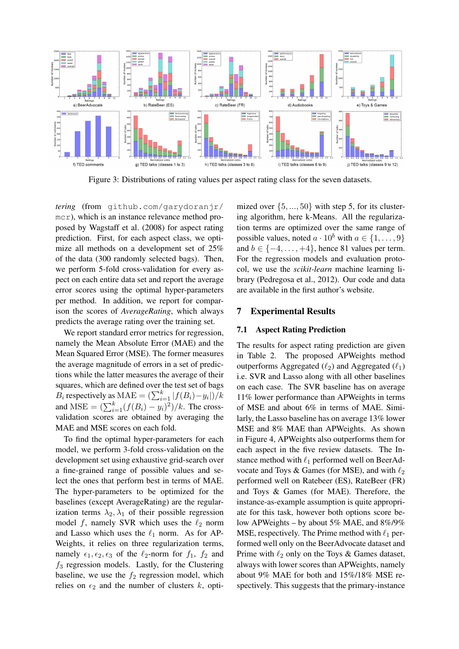

Figure 3: Distributions of rating values per aspect rating class for the seven datasets.

*tering* (from github.com/garydoranjr/ mcr), which is an instance relevance method proposed by Wagstaff et al. (2008) for aspect rating prediction. First, for each aspect class, we optimize all methods on a development set of 25% of the data (300 randomly selected bags). Then, we perform 5-fold cross-validation for every aspect on each entire data set and report the average error scores using the optimal hyper-parameters per method. In addition, we report for comparison the scores of *AverageRating*, which always predicts the average rating over the training set.

We report standard error metrics for regression, namely the Mean Absolute Error (MAE) and the Mean Squared Error (MSE). The former measures the average magnitude of errors in a set of predictions while the latter measures the average of their squares, which are defined over the test set of bags  $B_i$  respectively as MAE =  $\left(\sum_{i=1}^k |f(B_i) - y_i|\right)/k$ and  $MSE = (\sum_{i=1}^{k} (f(B_i) - y_i)^2)/k$ . The crossvalidation scores are obtained by averaging the MAE and MSE scores on each fold.

To find the optimal hyper-parameters for each model, we perform 3-fold cross-validation on the development set using exhaustive grid-search over a fine-grained range of possible values and select the ones that perform best in terms of MAE. The hyper-parameters to be optimized for the baselines (except AverageRating) are the regularization terms  $\lambda_2, \lambda_1$  of their possible regression model f, namely SVR which uses the  $\ell_2$  norm and Lasso which uses the  $\ell_1$  norm. As for AP-Weights, it relies on three regularization terms, namely  $\epsilon_1, \epsilon_2, \epsilon_3$  of the  $\ell_2$ -norm for  $f_1$ ,  $f_2$  and  $f_3$  regression models. Lastly, for the Clustering baseline, we use the  $f_2$  regression model, which relies on  $\epsilon_2$  and the number of clusters k, optimized over  $\{5, ..., 50\}$  with step 5, for its clustering algorithm, here k-Means. All the regularization terms are optimized over the same range of possible values, noted  $a \cdot 10^b$  with  $a \in \{1, \ldots, 9\}$ and  $b \in \{-4, \ldots, +4\}$ , hence 81 values per term. For the regression models and evaluation protocol, we use the *scikit-learn* machine learning library (Pedregosa et al., 2012). Our code and data are available in the first author's website.

## 7 Experimental Results

#### 7.1 Aspect Rating Prediction

The results for aspect rating prediction are given in Table 2. The proposed APWeights method outperforms Aggregated  $(\ell_2)$  and Aggregated  $(\ell_1)$ i.e. SVR and Lasso along with all other baselines on each case. The SVR baseline has on average 11% lower performance than APWeights in terms of MSE and about 6% in terms of MAE. Similarly, the Lasso baseline has on average 13% lower MSE and 8% MAE than APWeights. As shown in Figure 4, APWeights also outperforms them for each aspect in the five review datasets. The Instance method with  $\ell_1$  performed well on BeerAdvocate and Toys & Games (for MSE), and with  $\ell_2$ performed well on Ratebeer (ES), RateBeer (FR) and Toys & Games (for MAE). Therefore, the instance-as-example assumption is quite appropriate for this task, however both options score below APWeights – by about 5% MAE, and 8%/9% MSE, respectively. The Prime method with  $\ell_1$  performed well only on the BeerAdvocate dataset and Prime with  $\ell_2$  only on the Toys & Games dataset, always with lower scores than APWeights, namely about 9% MAE for both and 15%/18% MSE respectively. This suggests that the primary-instance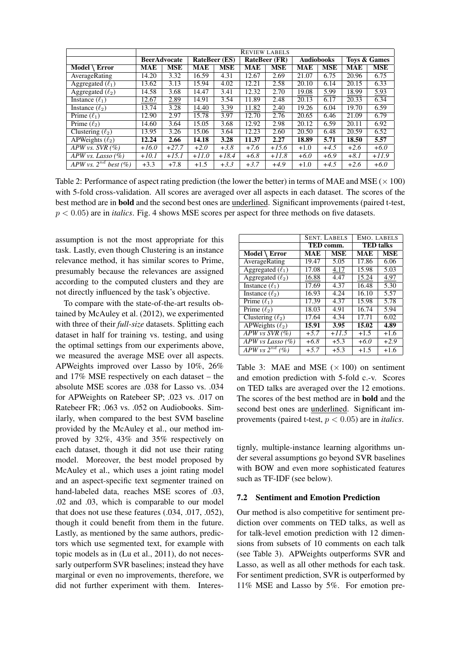|                           | <b>REVIEW LABELS</b> |            |                      |            |                      |            |                   |            |              |            |
|---------------------------|----------------------|------------|----------------------|------------|----------------------|------------|-------------------|------------|--------------|------------|
|                           | <b>BeerAdvocate</b>  |            | <b>RateBeer</b> (ES) |            | <b>RateBeer</b> (FR) |            | <b>Audiobooks</b> |            | Tovs & Games |            |
| Model $\setminus$ Error   | <b>MAE</b>           | <b>MSE</b> | <b>MAE</b>           | <b>MSE</b> | <b>MAE</b>           | <b>MSE</b> | <b>MAE</b>        | <b>MSE</b> | <b>MAE</b>   | <b>MSE</b> |
| AverageRating             | 14.20                | 3.32       | 16.59                | 4.31       | 12.67                | 2.69       | 21.07             | 6.75       | 20.96        | 6.75       |
| Aggregated $(\ell_1)$     | 13.62                | 3.13       | 15.94                | 4.02       | 12.21                | 2.58       | 20.10             | 6.14       | 20.15        | 6.33       |
| Aggregated $(\ell_2)$     | 14.58                | 3.68       | 14.47                | 3.41       | 12.32                | 2.70       | 19.08             | 5.99       | 18.99        | 5.93       |
| Instance $(\ell_1)$       | 12.67                | 2.89       | 14.91                | 3.54       | 11.89                | 2.48       | 20.13             | 6.17       | 20.33        | 6.34       |
| Instance $(\ell_2)$       | 13.74                | 3.28       | 14.40                | 3.39       | 11.82                | 2.40       | 19.26             | 6.04       | 19.70        | 6.59       |
| Prime $(\ell_1)$          | 12.90                | 2.97       | 15.78                | 3.97       | 12.70                | 2.76       | 20.65             | 6.46       | 21.09        | 6.79       |
| Prime $(\ell_2)$          | 14.60                | 3.64       | 15.05                | 3.68       | 12.92                | 2.98       | 20.12             | 6.59       | 20.11        | 6.92       |
| Clustering $(\ell_2)$     | 13.95                | 3.26       | 15.06                | 3.64       | 12.23                | 2.60       | 20.50             | 6.48       | 20.59        | 6.52       |
| APWeights $(\ell_2)$      | 12.24                | 2.66       | 14.18                | 3.28       | 11.37                | 2.27       | 18.89             | 5.71       | 18.50        | 5.57       |
| APW vs. $SVR$ (%)         | $+16.0$              | $+27.7$    | $+2.0$               | $+3.8$     | $+7.6$               | $+15.6$    | $+1.0$            | $+4.5$     | $+2.6$       | $+6.0$     |
| APW vs. Lasso $(\%)$      | $+10.1$              | $+15.1$    | $+11.0$              | $+18.4$    | $+6.8$               | $+11.8$    | $+6.0$            | $+6.9$     | $+8.1$       | $+11.9$    |
| APW vs. $2^{nd}$ best (%) | $+3.3$               | $+7.8$     | $+1.5$               | $+3.3$     | $+3.7$               | $+4.9$     | $+1.0$            | $+4.5$     | $+2.6$       | $+6.0$     |

Table 2: Performance of aspect rating prediction (the lower the better) in terms of MAE and MSE ( $\times$  100) with 5-fold cross-validation. All scores are averaged over all aspects in each dataset. The scores of the best method are in bold and the second best ones are underlined. Significant improvements (paired t-test, p < 0.05) are in *italics*. Fig. 4 shows MSE scores per aspect for three methods on five datasets.

assumption is not the most appropriate for this task. Lastly, even though Clustering is an instance relevance method, it has similar scores to Prime, presumably because the relevances are assigned according to the computed clusters and they are not directly influenced by the task's objective.

To compare with the state-of-the-art results obtained by McAuley et al. (2012), we experimented with three of their *full-size* datasets. Splitting each dataset in half for training vs. testing, and using the optimal settings from our experiments above, we measured the average MSE over all aspects. APWeights improved over Lasso by 10%, 26% and 17% MSE respectively on each dataset – the absolute MSE scores are .038 for Lasso vs. .034 for APWeights on Ratebeer SP; .023 vs. .017 on Ratebeer FR; .063 vs. .052 on Audiobooks. Similarly, when compared to the best SVM baseline provided by the McAuley et al., our method improved by 32%, 43% and 35% respectively on each dataset, though it did not use their rating model. Moreover, the best model proposed by McAuley et al., which uses a joint rating model and an aspect-specific text segmenter trained on hand-labeled data, reaches MSE scores of .03, .02 and .03, which is comparable to our model that does not use these features (.034, .017, .052), though it could benefit from them in the future. Lastly, as mentioned by the same authors, predictors which use segmented text, for example with topic models as in (Lu et al., 2011), do not necessarly outperform SVR baselines; instead they have marginal or even no improvements, therefore, we did not further experiment with them. Interes-

|                                                |            | <b>SENT. LABELS</b> | EMO. LABELS      |            |  |
|------------------------------------------------|------------|---------------------|------------------|------------|--|
|                                                |            | TED comm.           | <b>TED</b> talks |            |  |
| $\overline{\text{Model}\setminus\text{Error}}$ | <b>MAE</b> | <b>MSE</b>          | <b>MAE</b>       | <b>MSE</b> |  |
| AverageRating                                  | 19.47      | 5.05                | 17.86            | 6.06       |  |
| Aggregated $(\ell_1)$                          | 17.08      | 4.17                | 15.98            | 5.03       |  |
| Aggregated $(\ell_2)$                          | 16.88      | 4.47                | 15.24            | 4.97       |  |
| Instance $(\ell_1)$                            | 17.69      | 4.37                | 16.48            | 5.30       |  |
| Instance $(\ell_2)$                            | 16.93      | 4.24                | 16.10            | 5.57       |  |
| Prime $(\ell_1)$                               | 17.39      | 4.37                | 15.98            | 5.78       |  |
| Prime $(\ell_2)$                               | 18.03      | 4.91                | 16.74            | 5.94       |  |
| Clustering $(\ell_2)$                          | 17.64      | 4.34                | 17.71            | 6.02       |  |
| APWeights $(\ell_2)$                           | 15.91      | 3.95                | 15.02            | 4.89       |  |
| $\overline{APW}$ vs SVR (%)                    | $+5.7$     | $+11.5$             | $+1.5$           | $+1.6$     |  |
| APW vs Lasso $(\%)$                            | $+6.8$     | $+5.3$              | $+6.0$           | $+2.9$     |  |
| APW vs $2^{nd}$ (%)                            | $+5.7$     | $+5.3$              | $+1.5$           | $+1.6$     |  |

Table 3: MAE and MSE  $(\times 100)$  on sentiment and emotion prediction with 5-fold c.-v. Scores on TED talks are averaged over the 12 emotions. The scores of the best method are in bold and the second best ones are underlined. Significant improvements (paired t-test, p < 0.05) are in *italics*.

tignly, multiple-instance learning algorithms under several assumptions go beyond SVR baselines with BOW and even more sophisticated features such as TF-IDF (see below).

#### 7.2 Sentiment and Emotion Prediction

Our method is also competitive for sentiment prediction over comments on TED talks, as well as for talk-level emotion prediction with 12 dimensions from subsets of 10 comments on each talk (see Table 3). APWeights outperforms SVR and Lasso, as well as all other methods for each task. For sentiment prediction, SVR is outperformed by 11% MSE and Lasso by 5%. For emotion pre-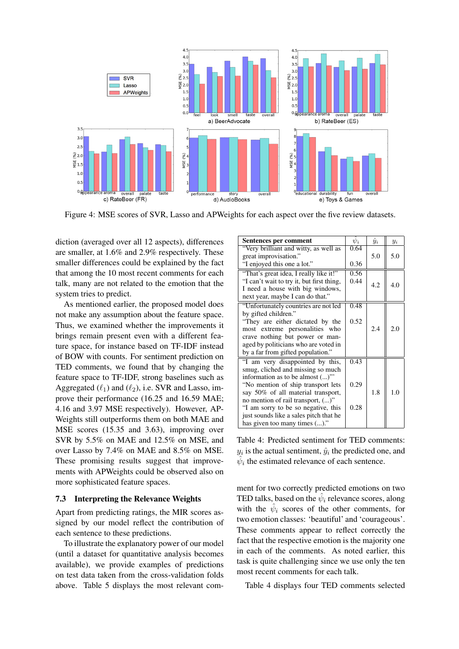

Figure 4: MSE scores of SVR, Lasso and APWeights for each aspect over the five review datasets.

diction (averaged over all 12 aspects), differences are smaller, at 1.6% and 2.9% respectively. These smaller differences could be explained by the fact that among the 10 most recent comments for each talk, many are not related to the emotion that the system tries to predict.

As mentioned earlier, the proposed model does not make any assumption about the feature space. Thus, we examined whether the improvements it brings remain present even with a different feature space, for instance based on TF-IDF instead of BOW with counts. For sentiment prediction on TED comments, we found that by changing the feature space to TF-IDF, strong baselines such as Aggregated  $(\ell_1)$  and  $(\ell_2)$ , i.e. SVR and Lasso, improve their performance (16.25 and 16.59 MAE; 4.16 and 3.97 MSE respectively). However, AP-Weights still outperforms them on both MAE and MSE scores (15.35 and 3.63), improving over SVR by 5.5% on MAE and 12.5% on MSE, and over Lasso by 7.4% on MAE and 8.5% on MSE. These promising results suggest that improvements with APWeights could be observed also on more sophisticated feature spaces.

#### 7.3 Interpreting the Relevance Weights

Apart from predicting ratings, the MIR scores assigned by our model reflect the contribution of each sentence to these predictions.

To illustrate the explanatory power of our model (until a dataset for quantitative analysis becomes available), we provide examples of predictions on test data taken from the cross-validation folds above. Table 5 displays the most relevant com-

| Sentences per comment                     | $\psi_i$ | $\hat{y}_i$ | $y_i$ |
|-------------------------------------------|----------|-------------|-------|
| "Very brilliant and witty, as well as     | 0.64     |             |       |
| great improvisation."                     |          | 5.0         | 5.0   |
| "I enjoyed this one a lot."               | 0.36     |             |       |
| "That's great idea, I really like it!"    | 0.56     |             |       |
| "I can't wait to try it, but first thing, | 0.44     | 4.2         | 4.0   |
| I need a house with big windows,          |          |             |       |
| next year, maybe I can do that."          |          |             |       |
| "Unfortunately countries are not led      | 0.48     |             |       |
| by gifted children."                      |          |             |       |
| "They are either dictated by the          | 0.52     |             |       |
| most extreme personalities who            |          | 2.4         | 2.0   |
| crave nothing but power or man-           |          |             |       |
| aged by politicians who are voted in      |          |             |       |
| by a far from gifted population."         |          |             |       |
| "I am very disappointed by this,          | 0.43     |             |       |
| smug, cliched and missing so much         |          |             |       |
| information as to be almost ()"           |          |             |       |
| "No mention of ship transport lets        | 0.29     |             |       |
| say 50% of all material transport,        |          | 1.8         | 1.0   |
| no mention of rail transport, ()"         |          |             |       |
| "I am sorry to be so negative, this       | 0.28     |             |       |
| just sounds like a sales pitch that he    |          |             |       |
| has given too many times ()."             |          |             |       |

Table 4: Predicted sentiment for TED comments:  $y_i$  is the actual sentiment,  $\hat{y}_i$  the predicted one, and  $\hat{\psi}_i$  the estimated relevance of each sentence.

ment for two correctly predicted emotions on two TED talks, based on the  $\hat{\psi}_i$  relevance scores, along with the  $\hat{\psi}_i$  scores of the other comments, for two emotion classes: 'beautiful' and 'courageous'. These comments appear to reflect correctly the fact that the respective emotion is the majority one in each of the comments. As noted earlier, this task is quite challenging since we use only the ten most recent comments for each talk.

Table 4 displays four TED comments selected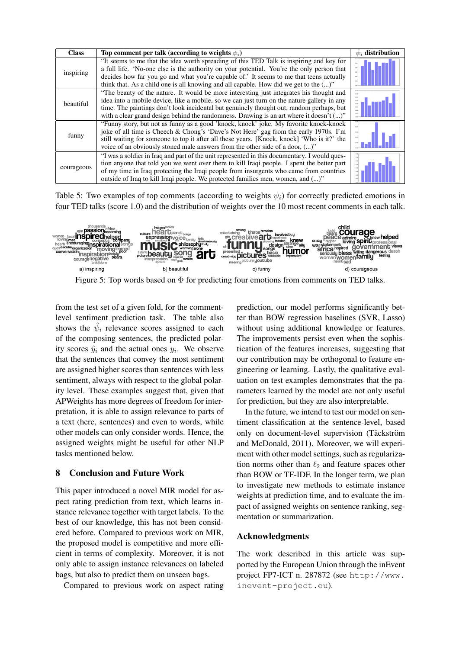| <b>Class</b> | Top comment per talk (according to weights $\psi_i$ )                                                                                                                                                                                                                                                                                                                           | $\psi_i$ distribution |
|--------------|---------------------------------------------------------------------------------------------------------------------------------------------------------------------------------------------------------------------------------------------------------------------------------------------------------------------------------------------------------------------------------|-----------------------|
| inspiring    | "It seems to me that the idea worth spreading of this TED Talk is inspiring and key for<br>a full life. 'No-one else is the authority on your potential. You're the only person that<br>decides how far you go and what you're capable of.' It seems to me that teens actually<br>think that. As a child one is all knowing and all capable. How did we get to the ()"          |                       |
| beautiful    | "The beauty of the nature. It would be more interesting just integrates his thought and<br>idea into a mobile device, like a mobile, so we can just turn on the nature gallery in any<br>time. The paintings don't look incidental but genuinely thought out, random perhaps, but<br>with a clear grand design behind the randomness. Drawing is an art where it doesn't $()$ " |                       |
| funny        | "Funny story, but not as funny as a good 'knock, knock' joke. My favorite knock-knock<br>joke of all time is Cheech & Chong's 'Dave's Not Here' gag from the early 1970s. I'm<br>still waiting for someone to top it after all these years. [Knock, knock] 'Who is it?' the<br>voice of an obviously stoned male answers from the other side of a door, ()"                     |                       |
| courageous   | "I was a soldier in Iraq and part of the unit represented in this documentary. I would ques-<br>tion anyone that told you we went over there to kill Iraqi people. I spent the better part<br>of my time in Iraq protecting the Iraqi people from insurgents who came from countries<br>outside of Iraq to kill Iraqi people. We protected families men, women, and ()"         |                       |

Table 5: Two examples of top comments (according to weights  $\psi_i$ ) for correctly predicted emotions in four TED talks (score 1.0) and the distribution of weights over the 10 most recent comments in each talk.



Figure 5: Top words based on  $\Phi$  for predicting four emotions from comments on TED talks.

from the test set of a given fold, for the commentlevel sentiment prediction task. The table also shows the  $\hat{\psi}_i$  relevance scores assigned to each of the composing sentences, the predicted polarity scores  $\hat{y}_i$  and the actual ones  $y_i$ . We observe that the sentences that convey the most sentiment are assigned higher scores than sentences with less sentiment, always with respect to the global polarity level. These examples suggest that, given that APWeights has more degrees of freedom for interpretation, it is able to assign relevance to parts of a text (here, sentences) and even to words, while other models can only consider words. Hence, the assigned weights might be useful for other NLP tasks mentioned below.

## 8 Conclusion and Future Work

This paper introduced a novel MIR model for aspect rating prediction from text, which learns instance relevance together with target labels. To the best of our knowledge, this has not been considered before. Compared to previous work on MIR, the proposed model is competitive and more efficient in terms of complexity. Moreover, it is not only able to assign instance relevances on labeled bags, but also to predict them on unseen bags.

Compared to previous work on aspect rating

prediction, our model performs significantly better than BOW regression baselines (SVR, Lasso) without using additional knowledge or features. The improvements persist even when the sophistication of the features increases, suggesting that our contribution may be orthogonal to feature engineering or learning. Lastly, the qualitative evaluation on test examples demonstrates that the parameters learned by the model are not only useful for prediction, but they are also interpretable.

In the future, we intend to test our model on sentiment classification at the sentence-level, based only on document-level supervision (Täckström and McDonald, 2011). Moreover, we will experiment with other model settings, such as regularization norms other than  $\ell_2$  and feature spaces other than BOW or TF-IDF. In the longer term, we plan to investigate new methods to estimate instance weights at prediction time, and to evaluate the impact of assigned weights on sentence ranking, segmentation or summarization.

## Acknowledgments

The work described in this article was supported by the European Union through the inEvent project FP7-ICT n. 287872 (see http://www. inevent-project.eu).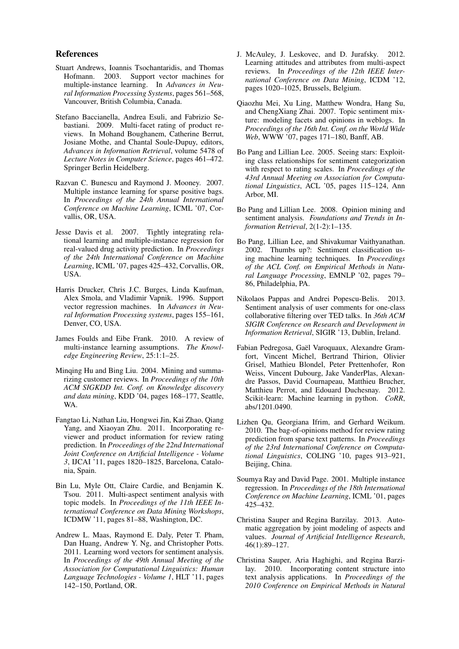#### References

- Stuart Andrews, Ioannis Tsochantaridis, and Thomas Hofmann. 2003. Support vector machines for multiple-instance learning. In *Advances in Neural Information Processing Systems*, pages 561–568, Vancouver, British Columbia, Canada.
- Stefano Baccianella, Andrea Esuli, and Fabrizio Sebastiani. 2009. Multi-facet rating of product reviews. In Mohand Boughanem, Catherine Berrut, Josiane Mothe, and Chantal Soule-Dupuy, editors, *Advances in Information Retrieval*, volume 5478 of *Lecture Notes in Computer Science*, pages 461–472. Springer Berlin Heidelberg.
- Razvan C. Bunescu and Raymond J. Mooney. 2007. Multiple instance learning for sparse positive bags. In *Proceedings of the 24th Annual International Conference on Machine Learning*, ICML '07, Corvallis, OR, USA.
- Jesse Davis et al. 2007. Tightly integrating relational learning and multiple-instance regression for real-valued drug activity prediction. In *Proceedings of the 24th International Conference on Machine Learning*, ICML '07, pages 425–432, Corvallis, OR, USA.
- Harris Drucker, Chris J.C. Burges, Linda Kaufman, Alex Smola, and Vladimir Vapnik. 1996. Support vector regression machines. In *Advances in Neural Information Processing systems*, pages 155–161, Denver, CO, USA.
- James Foulds and Eibe Frank. 2010. A review of multi-instance learning assumptions. *The Knowledge Engineering Review*, 25:1:1–25.
- Minqing Hu and Bing Liu. 2004. Mining and summarizing customer reviews. In *Proceedings of the 10th ACM SIGKDD Int. Conf. on Knowledge discovery and data mining*, KDD '04, pages 168–177, Seattle, WA.
- Fangtao Li, Nathan Liu, Hongwei Jin, Kai Zhao, Qiang Yang, and Xiaoyan Zhu. 2011. Incorporating reviewer and product information for review rating prediction. In *Proceedings of the 22nd International Joint Conference on Artificial Intelligence - Volume 3*, IJCAI '11, pages 1820–1825, Barcelona, Catalonia, Spain.
- Bin Lu, Myle Ott, Claire Cardie, and Benjamin K. Tsou. 2011. Multi-aspect sentiment analysis with topic models. In *Proceedings of the 11th IEEE International Conference on Data Mining Workshops*, ICDMW '11, pages 81–88, Washington, DC.
- Andrew L. Maas, Raymond E. Daly, Peter T. Pham, Dan Huang, Andrew Y. Ng, and Christopher Potts. 2011. Learning word vectors for sentiment analysis. In *Proceedings of the 49th Annual Meeting of the Association for Computational Linguistics: Human Language Technologies - Volume 1*, HLT '11, pages 142–150, Portland, OR.
- J. McAuley, J. Leskovec, and D. Jurafsky. 2012. Learning attitudes and attributes from multi-aspect reviews. In *Proceedings of the 12th IEEE International Conference on Data Mining*, ICDM '12, pages 1020–1025, Brussels, Belgium.
- Qiaozhu Mei, Xu Ling, Matthew Wondra, Hang Su, and ChengXiang Zhai. 2007. Topic sentiment mixture: modeling facets and opinions in weblogs. In *Proceedings of the 16th Int. Conf. on the World Wide Web*, WWW '07, pages 171–180, Banff, AB.
- Bo Pang and Lillian Lee. 2005. Seeing stars: Exploiting class relationships for sentiment categorization with respect to rating scales. In *Proceedings of the 43rd Annual Meeting on Association for Computational Linguistics*, ACL '05, pages 115–124, Ann Arbor, MI.
- Bo Pang and Lillian Lee. 2008. Opinion mining and sentiment analysis. *Foundations and Trends in Information Retrieval*, 2(1-2):1–135.
- Bo Pang, Lillian Lee, and Shivakumar Vaithyanathan. 2002. Thumbs up?: Sentiment classification using machine learning techniques. In *Proceedings of the ACL Conf. on Empirical Methods in Natural Language Processing*, EMNLP '02, pages 79– 86, Philadelphia, PA.
- Nikolaos Pappas and Andrei Popescu-Belis. 2013. Sentiment analysis of user comments for one-class collaborative filtering over TED talks. In *36th ACM SIGIR Conference on Research and Development in Information Retrieval*, SIGIR '13, Dublin, Ireland.
- Fabian Pedregosa, Gaël Varoquaux, Alexandre Gramfort, Vincent Michel, Bertrand Thirion, Olivier Grisel, Mathieu Blondel, Peter Prettenhofer, Ron Weiss, Vincent Dubourg, Jake VanderPlas, Alexandre Passos, David Cournapeau, Matthieu Brucher, Matthieu Perrot, and Edouard Duchesnay. 2012. Scikit-learn: Machine learning in python. *CoRR*, abs/1201.0490.
- Lizhen Qu, Georgiana Ifrim, and Gerhard Weikum. 2010. The bag-of-opinions method for review rating prediction from sparse text patterns. In *Proceedings of the 23rd International Conference on Computational Linguistics*, COLING '10, pages 913–921, Beijing, China.
- Soumya Ray and David Page. 2001. Multiple instance regression. In *Proceedings of the 18th International Conference on Machine Learning*, ICML '01, pages 425–432.
- Christina Sauper and Regina Barzilay. 2013. Automatic aggregation by joint modeling of aspects and values. *Journal of Artificial Intelligence Research*, 46(1):89–127.
- Christina Sauper, Aria Haghighi, and Regina Barzilay. 2010. Incorporating content structure into text analysis applications. In *Proceedings of the 2010 Conference on Empirical Methods in Natural*